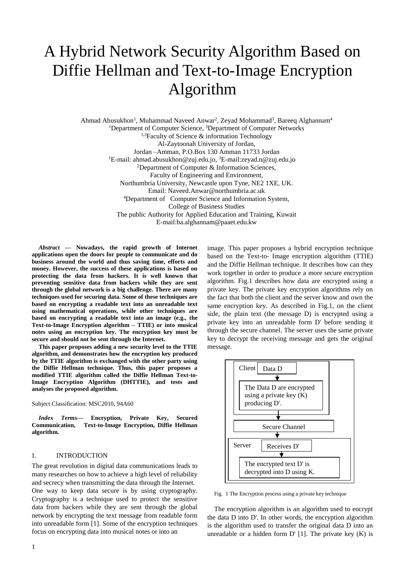# A Hybrid Network Security Algorithm Based on Diffie Hellman and Text-to-Image Encryption Algorithm

Ahmad Abusukhon<sup>1</sup>, Muhammad Naveed Anwar<sup>2</sup>, Zeyad Mohammad<sup>3</sup>, Bareeq Alghannam<sup>4</sup> <sup>1</sup>Department of Computer Science, <sup>3</sup>Department of Computer Networks  $1,3$ Faculty of Science & information Technology Al-Zaytoonah University of Jordan, Jordan –Amman, P.O.Box 130 Amman 11733 Jordan <sup>1</sup>E-mail: ahmad.abusukhon@zuj.edu.jo, <sup>3</sup>E-mail:zeyad.n@zuj.edu.jo <sup>2</sup>Department of Computer & Information Sciences, Faculty of Engineering and Environment, Northumbria University, Newcastle upon Tyne, NE2 1XE, UK. Email: Naveed.Anwar@northumbria.ac.uk <sup>4</sup>Department of Computer Science and Information System, College of Business Studies The public Authority for Applied Education and Training, Kuwait E-mail:ba.alghannam@paaet.edu.kw

*Abstract —* **Nowadays, the rapid growth of Internet applications open the doors for people to communicate and do business around the world and thus saving time, efforts and money. However, the success of these applications is based on protecting the data from hackers. It is well known that preventing sensitive data from hackers while they are sent through the global network is a big challenge. There are many techniques used for securing data. Some of these techniques are based on encrypting a readable text into an unreadable text using mathematical operations, while other techniques are based on encrypting a readable text into an image (e.g., the Text-to-Image Encryption algorithm – TTIE) or into musical notes using an encryption key. The encryption key must be secure and should not be sent through the Internet.** 

**This paper proposes adding a new security level to the TTIE algorithm, and demonstrates how the encryption key produced by the TTIE algorithm is exchanged with the other party using the Diffie Hellman technique. Thus, this paper proposes a modified TTIE algorithm called the Diffie Hellman Text-to-Image Encryption Algorithm (DHTTIE), and tests and analyses the proposed algorithm.** 

Subject Classification: MSC2010, 94A60

*Index Terms***— Encryption, Private Key, Secured Communication, Text-to-Image Encryption, Diffie Hellman algorithm.**

## 1. INTRODUCTION

The great revolution in digital data communications leads to many researches on how to achieve a high level of reliability and secrecy when transmitting the data through the Internet. One way to keep data secure is by using cryptography. Cryptography is a technique used to protect the sensitive data from hackers while they are sent through the global network by encrypting the text message from readable form into unreadable form [1]. Some of the encryption techniques focus on encrypting data into musical notes or into an

1

image. This paper proposes a hybrid encryption technique based on the Text-to- Image encryption algorithm (TTIE) and the Diffie Hellman technique. It describes how can they work together in order to produce a more secure encryption algorithm. Fig.1 describes how data are encrypted using a private key. The private key encryption algorithms rely on the fact that both the client and the server know and own the same encryption key. As described in Fig.1, on the client side, the plain text (the message D) is encrypted using a private key into an unreadable form D' before sending it through the secure channel. The server uses the same private key to decrypt the receiving message and gets the original message.



Fig. 1 The Encryption process using a private key technique

The encryption algorithm is an algorithm used to encrypt the data D into D'. In other words, the encryption algorithm is the algorithm used to transfer the original data D into an unreadable or a hidden form  $D'$  [1]. The private key  $(K)$  is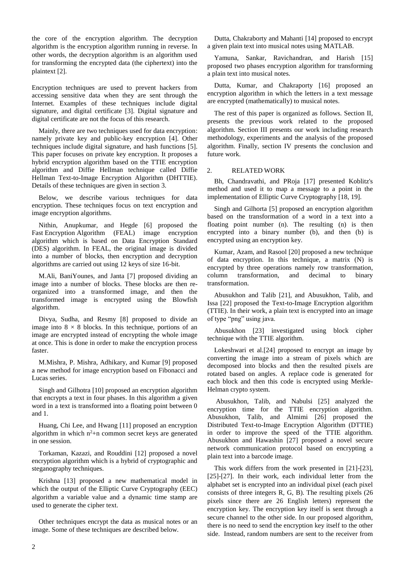the core of the encryption algorithm. The decryption algorithm is the encryption algorithm running in reverse. In other words, the decryption algorithm is an algorithm used for transforming the encrypted data (the ciphertext) into the plaintext [2].

Encryption techniques are used to prevent hackers from accessing sensitive data when they are sent through the Internet. Examples of these techniques include digital signature, and digital certificate [3]. Digital signature and digital certificate are not the focus of this research.

Mainly, there are two techniques used for data encryption: namely private key and public-key encryption [4]. Other techniques include digital signature, and hash functions [5]. This paper focuses on private key encryption. It proposes a hybrid encryption algorithm based on the TTIE encryption algorithm and Diffie Hellman technique called Diffie Hellman Text-to-Image Encryption Algorithm (DHTTIE). Details of these techniques are given in section 3.

Below, we describe various techniques for data encryption. These techniques focus on text encryption and image encryption algorithms.

Nithin, Anupkumar, and Hegde [6] proposed the Fast Encryption Algorithm (FEAL) image encryption algorithm which is based on Data Encryption Standard (DES) algorithm. In FEAL, the original image is divided into a number of blocks, then encryption and decryption algorithms are carried out using 12 keys of size 16-bit.

M.Ali, BaniYounes, and Janta [7] proposed dividing an image into a number of blocks. These blocks are then reorganized into a transformed image, and then the transformed image is encrypted using the Blowfish algorithm.

Divya, Sudha, and Resmy [8] proposed to divide an image into  $8 \times 8$  blocks. In this technique, portions of an image are encrypted instead of encrypting the whole image at once. This is done in order to make the encryption process faster.

M.Mishra, P. Mishra, Adhikary, and Kumar [9] proposed a new method for image encryption based on Fibonacci and Lucas series.

Singh and Gilhotra [10] proposed an encryption algorithm that encrypts a text in four phases. In this algorithm a given word in a text is transformed into a floating point between 0 and 1.

Huang, Chi Lee, and Hwang [11] proposed an encryption algorithm in which  $n^2+n$  common secret keys are generated in one session.

Torkaman, Kazazi, and Rouddini [12] proposed a novel encryption algorithm which is a hybrid of cryptographic and steganography techniques.

Krishna [13] proposed a new mathematical model in which the output of the Elliptic Curve Cryptography (EEC) algorithm a variable value and a dynamic time stamp are used to generate the cipher text.

Other techniques encrypt the data as musical notes or an image. Some of these techniques are described below.

Dutta, Chakraborty and Mahanti [14] proposed to encrypt a given plain text into musical notes using MATLAB.

Yamuna, Sankar, Ravichandran, and Harish [15] proposed two phases encryption algorithm for transforming a plain text into musical notes.

Dutta, Kumar, and Chakraporty [16] proposed an encryption algorithm in which the letters in a text message are encrypted (mathematically) to musical notes.

The rest of this paper is organized as follows. Section II, presents the previous work related to the proposed algorithm. Section III presents our work including research methodology, experiments and the analysis of the proposed algorithm. Finally, section IV presents the conclusion and future work.

## 2. RELATED WORK

Bh, Chandravathi, and PRoja [17] presented Koblitz's method and used it to map a message to a point in the implementation of Elliptic Curve Cryptography [18, 19].

Singh and Gilhorta [5] proposed an encryption algorithm based on the transformation of a word in a text into a floating point number (n). The resulting (n) is then encrypted into a binary number (b), and then (b) is encrypted using an encryption key.

Kumar, Azam, and Rasool [20] proposed a new technique of data encryption. In this technique, a matrix (N) is encrypted by three operations namely row transformation, column transformation, and decimal to binary transformation.

Abusukhon and Talib [21], and Abusukhon, Talib, and Issa [22] proposed the Text-to-Image Encryption algorithm (TTIE). In their work, a plain text is encrypted into an image of type "png" using java.

Abusukhon [23] investigated using block cipher technique with the TTIE algorithm.

Lokeshwari et al.[24] proposed to encrypt an image by converting the image into a stream of pixels which are decomposed into blocks and then the resulted pixels are rotated based on angles. A replace code is generated for each block and then this code is encrypted using Merkle-Helman crypto system.

Abusukhon, Talib, and Nabulsi [25] analyzed the encryption time for the TTIE encryption algorithm. Abusukhon, Talib, and Almimi [26] proposed the Distributed Text-to-Image Encryption Algorithm (DTTIE) in order to improve the speed of the TTIE algorithm. Abusukhon and Hawashin [27] proposed a novel secure network communication protocol based on encrypting a plain text into a barcode image.

This work differs from the work presented in [21]-[23], [25]-[27]. In their work, each individual letter from the alphabet set is encrypted into an individual pixel (each pixel consists of three integers R, G, B). The resulting pixels (26 pixels since there are 26 English letters) represent the encryption key. The encryption key itself is sent through a secure channel to the other side. In our proposed algorithm, there is no need to send the encryption key itself to the other side. Instead, random numbers are sent to the receiver from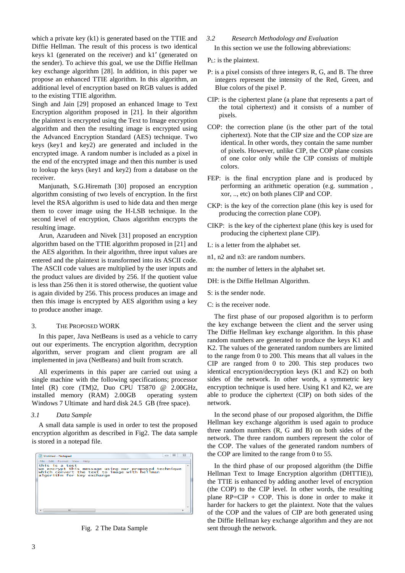which a private key (k1) is generated based on the TTIE and Diffie Hellman. The result of this process is two identical keys k1 (generated on the receiver) and k1′ (generated on the sender). To achieve this goal, we use the Diffie Hellman key exchange algorithm [28]. In addition, in this paper we propose an enhanced TTIE algorithm. In this algorithm, an additional level of encryption based on RGB values is added to the existing TTIE algorithm.

Singh and Jain [29] proposed an enhanced Image to Text Encryption algorithm proposed in [21]. In their algorithm the plaintext is encrypted using the Text to Image encryption algorithm and then the resulting image is encrypted using the Advanced Encryption Standard (AES) technique. Two keys (key1 and key2) are generated and included in the encrypted image. A random number is included as a pixel in the end of the encrypted image and then this number is used to lookup the keys (key1 and key2) from a database on the receiver.

Manjunath, S.G.Hiremath [30] proposed an encryption algorithm consisting of two levels of encryption. In the first level the RSA algorithm is used to hide data and then merge them to cover image using the H-LSB technique. In the second level of encryption, Chaos algorithm encrypts the resulting image.

Arun, Azarudeen and Nivek [31] proposed an encryption algorithm based on the TTIE algorithm proposed in [21] and the AES algorithm. In their algorithm, three input values are entered and the plaintext is transformed into its ASCII code. The ASCII code values are multiplied by the user inputs and the product values are divided by 256. If the quotient value is less than 256 then it is stored otherwise, the quotient value is again divided by 256. This process produces an image and then this image is encrypted by AES algorithm using a key to produce another image.

## 3. THE PROPOSED WORK

In this paper, Java NetBeans is used as a vehicle to carry out our experiments. The encryption algorithm, decryption algorithm, server program and client program are all implemented in java (NetBeans) and built from scratch.

All experiments in this paper are carried out using a single machine with the following specifications; processor Intel (R) core (TM)2, Duo CPU T5870 @ 2.00GHz, installed memory (RAM) 2.00GB operating system Windows 7 Ultimate and hard disk 24.5 GB (free space).

## *3.1 Data Sample*

A small data sample is used in order to test the proposed encryption algorithm as described in Fig2. The data sample is stored in a notepad file.

| $\boxed{\square}$<br>$\equiv$<br><b>Untitled - Notepad</b>                                                                                           | $\Sigma$                 |
|------------------------------------------------------------------------------------------------------------------------------------------------------|--------------------------|
| File Edit Format View Help                                                                                                                           |                          |
| this is a test<br>we encrypt this message using our proposed technique<br>which convert the text to image with hellman<br>algorithm for key exchange | $\overline{\phantom{a}}$ |
|                                                                                                                                                      |                          |
| m                                                                                                                                                    |                          |

Fig. 2 The Data Sample

## *3.2 Research Methodology and Evaluation*

In this section we use the following abbreviations:

P<sub>L</sub>: is the plaintext.

- P: is a pixel consists of three integers R, G, and B. The three integers represent the intensity of the Red, Green, and Blue colors of the pixel P.
- CIP: is the ciphertext plane (a plane that represents a part of the total ciphertext) and it consists of a number of pixels.
- COP: the correction plane (is the other part of the total ciphertext). Note that the CIP size and the COP size are identical. In other words, they contain the same number of pixels. However, unlike CIP, the COP plane consists of one color only while the CIP consists of multiple colors.
- FEP: is the final encryption plane and is produced by performing an arithmetic operation (e.g. summation , xor, .., etc) on both planes CIP and COP.
- CKP: is the key of the correction plane (this key is used for producing the correction plane COP).
- CIKP: is the key of the ciphertext plane (this key is used for producing the ciphertext plane CIP).
- L: is a letter from the alphabet set.
- n1, n2 and n3: are random numbers.
- m: the number of letters in the alphabet set.
- DH: is the Diffie Hellman Algorithm.
- S: is the sender node.
- C: is the receiver node.

The first phase of our proposed algorithm is to perform the key exchange between the client and the server using The Diffie Hellman key exchange algorithm. In this phase random numbers are generated to produce the keys K1 and K2. The values of the generated random numbers are limited to the range from 0 to 200. This means that all values in the CIP are ranged from 0 to 200. This step produces two identical encryption/decryption keys (K1 and K2) on both sides of the network. In other words, a symmetric key encryption technique is used here. Using K1 and K2, we are able to produce the ciphertext (CIP) on both sides of the network.

In the second phase of our proposed algorithm, the Diffie Hellman key exchange algorithm is used again to produce three random numbers (R, G and B) on both sides of the network. The three random numbers represent the color of the COP. The values of the generated random numbers of the COP are limited to the range from 0 to 55.

In the third phase of our proposed algorithm (the Diffie Hellman Text to Image Encryption algorithm (DHTTIE)), the TTIE is enhanced by adding another level of encryption (the COP) to the CIP level. In other words, the resulting plane RP=CIP + COP. This is done in order to make it harder for hackers to get the plaintext. Note that the values of the COP and the values of CIP are both generated using the Diffie Hellman key exchange algorithm and they are not sent through the network.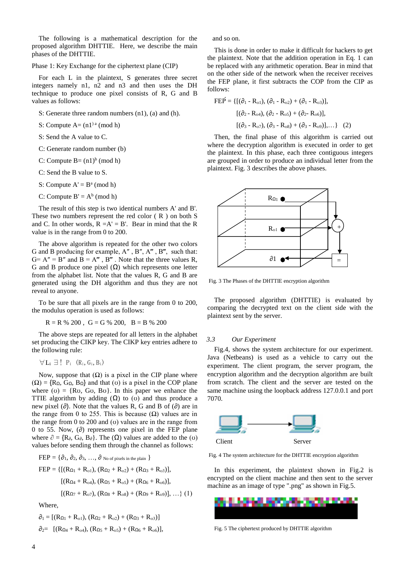The following is a mathematical description for the proposed algorithm DHTTIE. Here, we describe the main phases of the DHTTIE.

### Phase 1: Key Exchange for the ciphertext plane (CIP)

For each L in the plaintext, S generates three secret integers namely n1, n2 and n3 and then uses the DH technique to produce one pixel consists of R, G and B values as follows:

- S: Generate three random numbers (n1), (a) and (h).
- S: Compute  $A = (n1)<sup>a</sup>$  (mod h)
- S: Send the A value to C.
- C: Generate random number (b)
- C: Compute  $B = (n1)^b \pmod{h}$
- C: Send the B value to S.
- S: Compute  $A' = B^a \pmod{h}$
- C: Compute  $B' = A^b \pmod{h}$

The result of this step is two identical numbers A' and B'. These two numbers represent the red color  $(R)$  on both S and C. In other words,  $R = A' = B'$ . Bear in mind that the R value is in the range from 0 to 200.

The above algorithm is repeated for the other two colors G and B producing for example, A″ , B″, A‴ , B‴, such that:  $G = A'' = B''$  and  $B = A'''$ ,  $B'''$ . Note that the three values R, G and B produce one pixel  $(\Omega)$  which represents one letter from the alphabet list. Note that the values R, G and B are generated using the DH algorithm and thus they are not reveal to anyone.

To be sure that all pixels are in the range from 0 to 200, the modulus operation is used as follows:

 $R = R$  % 200,  $G = G$  % 200,  $B = B$  % 200

The above steps are repeated for all letters in the alphabet set producing the CIKP key. The CIKP key entries adhere to the following rule:

$$
\forall L_i \sqsupseteq ! \ P_i \ (R_i, G_i, B_i)
$$

Now, suppose that  $(\Omega)$  is a pixel in the CIP plane where  $(\Omega) = \{R_{\Omega}, G_{\Omega}, B_{\Omega}\}\$ and that (v) is a pixel in the COP plane where  $(v) = \{Rv, Gv, Bv\}$ . In this paper we enhance the TTIE algorithm by adding  $(\Omega)$  to  $(\sigma)$  and thus produce a new pixel ( $\partial$ ). Note that the values R, G and B of ( $\partial$ ) are in the range from 0 to 255. This is because  $(\Omega)$  values are in the range from 0 to 200 and  $(v)$  values are in the range from 0 to 55. Now,  $\left(\partial\right)$  represents one pixel in the FEP plane where  $\partial = \{R_{\partial}, G_{\partial}, B_{\partial}\}\)$ . The  $(\Omega)$  values are added to the  $(\sigma)$ values before sending them through the channel as follows:

$$
FEP = \{ \partial_1, \partial_2, \partial_3, ..., \partial_{No \text{ of pixels in the plain } } \}
$$
  
\n
$$
FEP = \{ [(R_{Ω1} + R_{υ1}), (R_{Ω2} + R_{υ2}) + (R_{Ω3} + R_{υ3})],
$$
  
\n
$$
[(R_{Ω4} + R_{υ4}), (R_{Ω5} + R_{υ5}) + (R_{Ω6} + R_{υ6})],
$$
  
\n
$$
[(R_{Ω7} + R_{υ7}), (R_{Ω8} + R_{υ8}) + (R_{Ω9} + R_{υ9})], ... \} (1)
$$

Where,

$$
\partial_1 = [(R_{\Omega_1} + R_{\sigma 1}), (R_{\Omega_2} + R_{\sigma 2}) + (R_{\Omega_3} + R_{\sigma 3})]
$$
  

$$
\partial_2 = [(R_{\Omega_4} + R_{\sigma 4}), (R_{\Omega_5} + R_{\sigma 5}) + (R_{\Omega_6} + R_{\sigma 6})],
$$

and so on.

This is done in order to make it difficult for hackers to get the plaintext. Note that the addition operation in Eq. 1 can be replaced with any arithmetic operation. Bear in mind that on the other side of the network when the receiver receives the FEP plane, it first subtracts the COP from the CIP as follows:

$$
\begin{aligned} \text{FEP} &= \{ [(\partial_1 \cdot \mathbf{R}_{01}), (\partial_1 \cdot \mathbf{R}_{02}) + (\partial_1 \cdot \mathbf{R}_{03})], \\ & [(\partial_2 \cdot \mathbf{R}_{04}), (\partial_2 \cdot \mathbf{R}_{05}) + (\partial_2 \cdot \mathbf{R}_{06})], \\ & [(\partial_3 \cdot \mathbf{R}_{07}), (\partial_3 \cdot \mathbf{R}_{08}) + (\partial_3 \cdot \mathbf{R}_{09})], \dots \} \end{aligned} \tag{2}
$$

Then, the final phase of this algorithm is carried out where the decryption algorithm is executed in order to get the plaintext. In this phase, each three contiguous integers are grouped in order to produce an individual letter from the plaintext. Fig. 3 describes the above phases.



Fig. 3 The Phases of the DHTTIE encryption algorithm

The proposed algorithm (DHTTIE) is evaluated by comparing the decrypted text on the client side with the plaintext sent by the server.

#### *3.3 Our Experiment*

Fig.4, shows the system architecture for our experiment. Java (Netbeans) is used as a vehicle to carry out the experiment. The client program, the server program, the encryption algorithm and the decryption algorithm are built from scratch. The client and the server are tested on the same machine using the loopback address 127.0.0.1 and port 7070.



Fig. 4 The system architecture for the DHTTIE encryption algorithm

In this experiment, the plaintext shown in Fig.2 is encrypted on the client machine and then sent to the server machine as an image of type ".png" as shown in Fig.5.



Fig. 5 The ciphertext produced by DHTTIE algorithm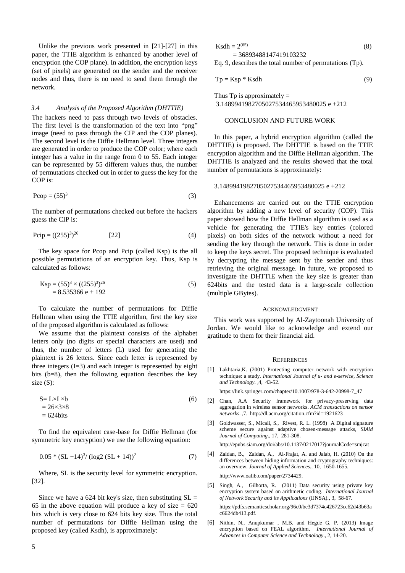Unlike the previous work presented in [21]-[27] in this paper, the TTIE algorithm is enhanced by another level of encryption (the COP plane). In addition, the encryption keys (set of pixels) are generated on the sender and the receiver nodes and thus, there is no need to send them through the network.

## *3.4 Analysis of the Proposed Algorithm (DHTTIE)*

The hackers need to pass through two levels of obstacles. The first level is the transformation of the text into "png" image (need to pass through the CIP and the COP planes). The second level is the Diffie Hellman level. Three integers are generated in order to produce the COP color; where each integer has a value in the range from 0 to 55. Each integer can be represented by 55 different values thus, the number of permutations checked out in order to guess the key for the COP is:

$$
\text{Pcop} = (55)^3 \tag{3}
$$

The number of permutations checked out before the hackers guess the CIP is:

$$
Pcip = ((255)^3)^{26} \t[22] \t(4)
$$

The key space for Pcop and Pcip (called Ksp) is the all possible permutations of an encryption key. Thus, Ksp is calculated as follows:

$$
Ksp = (55)3 \times ((255)3)26
$$
  
= 8.535366 e + 192 (5)

To calculate the number of permutations for Diffie Hellman when using the TTIE algorithm, first the key size of the proposed algorithm is calculated as follows:

We assume that the plaintext consists of the alphabet letters only (no digits or special characters are used) and thus, the number of letters (L) used for generating the plaintext is 26 letters. Since each letter is represented by three integers  $(I=3)$  and each integer is represented by eight bits (b=8), then the following equation describes the key size  $(S)$ :

$$
S = L \times I \times b
$$
  
= 26×3×8  
= 624bits

To find the equivalent case-base for Diffie Hellman (for symmetric key encryption) we use the following equation:

$$
0.05 * (SL + 14)3 / (log2 (SL + 14))2
$$
 (7)

Where, SL is the security level for symmetric encryption. [32].

Since we have a 624 bit key's size, then substituting  $SL =$ 65 in the above equation will produce a key of size  $= 620$ bits which is very close to 624 bits key size. Thus the total number of permutations for Diffie Hellman using the proposed key (called Ksdh), is approximately:

$$
\begin{aligned} \text{Ksdh} &= 2^{(65)} \\ &= 36893488147419103232 \end{aligned} \tag{8}
$$

Eq. 9, describes the total number of permutations (Tp).

$$
Tp = Ksp * Ksdh
$$
 (9)

Thus  $Tp$  is approximately  $=$ 3.1489941982705027534465953480025 e +212

## CONCLUSION AND FUTURE WORK

In this paper, a hybrid encryption algorithm (called the DHTTIE) is proposed. The DHTTIE is based on the TTIE encryption algorithm and the Diffie Hellman algorithm. The DHTTIE is analyzed and the results showed that the total number of permutations is approximately:

#### 3.1489941982705027534465953480025 e +212

Enhancements are carried out on the TTIE encryption algorithm by adding a new level of security (COP). This paper showed how the Diffie Hellman algorithm is used as a vehicle for generating the TTIE's key entries (colored pixels) on both sides of the network without a need for sending the key through the network. This is done in order to keep the keys secret. The proposed technique is evaluated by decrypting the message sent by the sender and thus retrieving the original message. In future, we proposed to investigate the DHTTIE when the key size is greater than 624bits and the tested data is a large-scale collection (multiple GBytes).

#### ACKNOWLEDGMENT

This work was supported by Al-Zaytoonah University of Jordan. We would like to acknowledge and extend our gratitude to them for their financial aid.

#### **REFERENCES**

[1] Lakhtaria, K. (2001) Protecting computer network with encryption technique: a study. *International Journal of u- and e-service, Science and Technology*. ,4, 43-52.

https://link.springer.com/chapter/10.1007/978-3-642-20998-7\_47

- [2] Chan, A.A Security framework for privacy-preserving data aggregation in wireless sensor networks. *ACM transactions on sensor networks*. ,7. http://dl.acm.org/citation.cfm?id=1921623
- [3] Goldwasser, S., Micali, S., Rivest, R. L. (1998) A Digital signature scheme secure against adaptive chosen-message attacks, *SIAM Journal of Computing*., 17, 281-308. http://epubs.siam.org/doi/abs/10.1137/0217017?journalCode=smjcat
- [4] Zaidan, B., Zaidan, A., Al-Frajat, A. and Jalab, H. (2010) On the differences between hiding information and cryptography techniques: an overview. *Journal of Applied Sciences*., 10, 1650-1655. http://www.oalib.com/paper/2734429.
- [5] Singh, A., Gilhorta, R. (2011) Data security using private key encryption system based on arithmetic coding. *International Journal of Network Security and its Applications* (IJNSA)., 3, 58-67. https://pdfs.semanticscholar.org/96c0/be3d7374c426723cc62d43b63a c6624db413.pdf.
- [6] Nithin, N., Anupkumar , M.B. and Hegde G. P. (2013) Image encryption based on FEAL algorithm. *International Journal of Advances in Computer Science and Technology*., 2, 14-20.